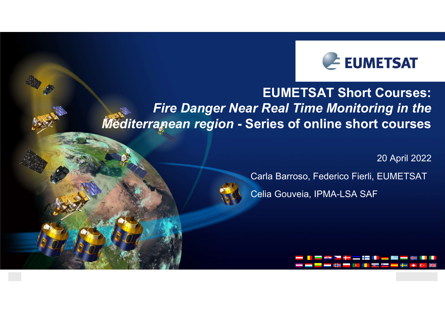

EUMETSAT Short Courses: Fire Danger Near Real Time Monitoring in the EUMETSAT<br>EUMETSAT Short Courses:<br>Fire Danger Near Real Time Monitoring in the<br>Méditerranean region - Series of online short courses<br>20 April 2022

20 April 2022



Carla Barroso, Federico Fierli, EUMETSAT

Celia Gouveia, IPMA-LSA SAF

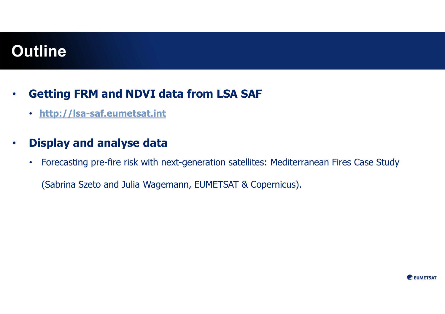# **Outline**

### • Getting FRM and NDVI data from LSA SAF

• http://lsa-saf.eumetsat.int

### • Display and analyse data

• Forecasting pre-fire risk with next-generation satellites: Mediterranean Fires Case Study

(Sabrina Szeto and Julia Wagemann, EUMETSAT & Copernicus).

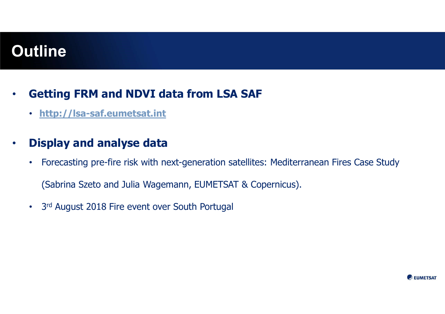# **Outline**

### • Getting FRM and NDVI data from LSA SAF

• http://lsa-saf.eumetsat.int

#### • Display and analyse data

• Forecasting pre-fire risk with next-generation satellites: Mediterranean Fires Case Study

(Sabrina Szeto and Julia Wagemann, EUMETSAT & Copernicus).

• 3<sup>rd</sup> August 2018 Fire event over South Portugal

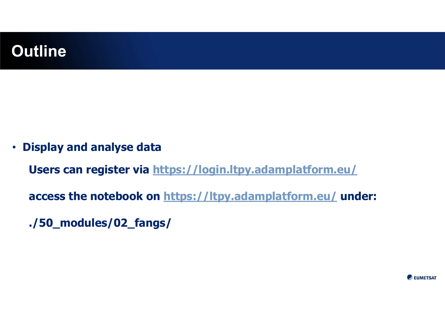# **Outline**

• Display and analyse data

Users can register via https://login.ltpy.adamplatform.eu/

access the notebook on https://ltpy.adamplatform.eu/ under:

./50\_modules/02\_fangs/